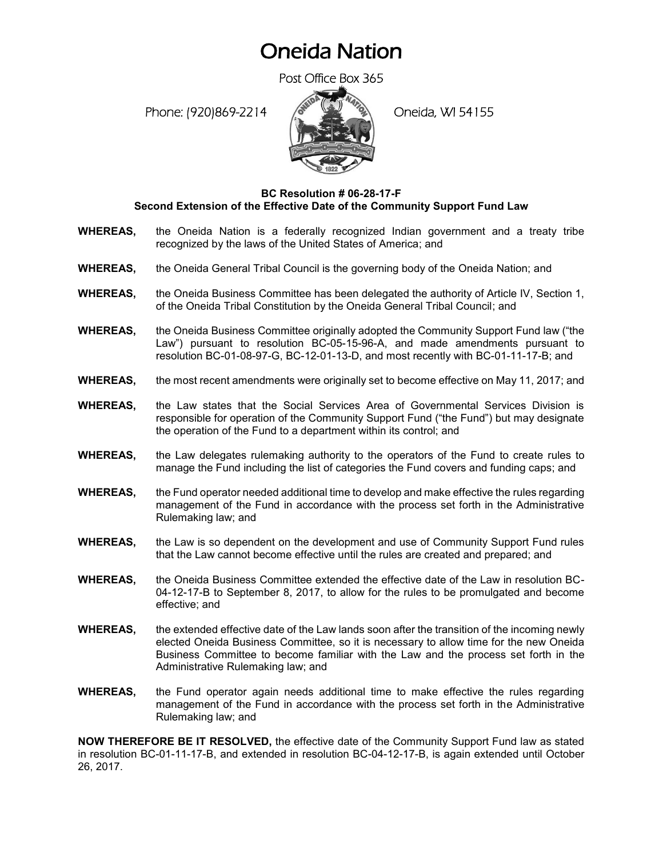## Oneida Nation

Post Office Box 365

Phone: (920)869-2214 (8 April 2) Oneida, WI 54155



## **BC Resolution # 06-28-17-F Second Extension of the Effective Date of the Community Support Fund Law**

- **WHEREAS,** the Oneida Nation is a federally recognized Indian government and a treaty tribe recognized by the laws of the United States of America; and
- **WHEREAS,** the Oneida General Tribal Council is the governing body of the Oneida Nation; and
- **WHEREAS,** the Oneida Business Committee has been delegated the authority of Article IV, Section 1, of the Oneida Tribal Constitution by the Oneida General Tribal Council; and
- **WHEREAS,** the Oneida Business Committee originally adopted the Community Support Fund law ("the Law") pursuant to resolution BC-05-15-96-A, and made amendments pursuant to resolution BC-01-08-97-G, BC-12-01-13-D, and most recently with BC-01-11-17-B; and
- **WHEREAS,** the most recent amendments were originally set to become effective on May 11, 2017; and
- **WHEREAS,** the Law states that the Social Services Area of Governmental Services Division is responsible for operation of the Community Support Fund ("the Fund") but may designate the operation of the Fund to a department within its control; and
- **WHEREAS,** the Law delegates rulemaking authority to the operators of the Fund to create rules to manage the Fund including the list of categories the Fund covers and funding caps; and
- **WHEREAS,** the Fund operator needed additional time to develop and make effective the rules regarding management of the Fund in accordance with the process set forth in the Administrative Rulemaking law; and
- **WHEREAS,** the Law is so dependent on the development and use of Community Support Fund rules that the Law cannot become effective until the rules are created and prepared; and
- **WHEREAS,** the Oneida Business Committee extended the effective date of the Law in resolution BC-04-12-17-B to September 8, 2017, to allow for the rules to be promulgated and become effective; and
- **WHEREAS,** the extended effective date of the Law lands soon after the transition of the incoming newly elected Oneida Business Committee, so it is necessary to allow time for the new Oneida Business Committee to become familiar with the Law and the process set forth in the Administrative Rulemaking law; and
- **WHEREAS,** the Fund operator again needs additional time to make effective the rules regarding management of the Fund in accordance with the process set forth in the Administrative Rulemaking law; and

**NOW THEREFORE BE IT RESOLVED,** the effective date of the Community Support Fund law as stated in resolution BC-01-11-17-B, and extended in resolution BC-04-12-17-B, is again extended until October 26, 2017.